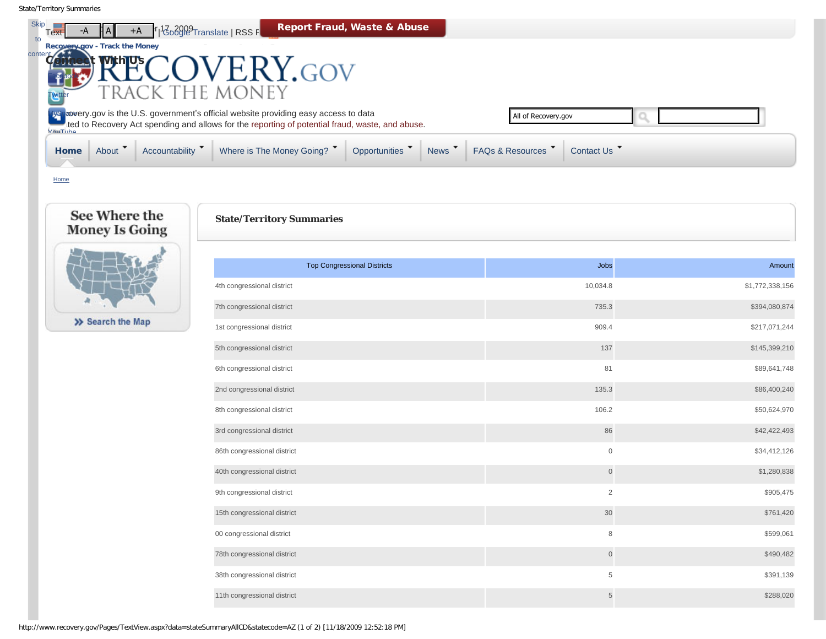co

| ร <sub>kip</sub><br>Textา<br>$+A$<br>$A$ $A$ $V$<br>to             | <b>Report Fraud, Waste &amp; Abuse</b><br>$\mathbb{F}$   $\mathbb{F}_0$ $\mathbb{C}$ $\frac{1}{2}$ $\mathbb{C}$ $\mathbb{C}$ $\mathbb{C}$ $\mathbb{C}$ $\mathbb{C}$ $\mathbb{C}$ $\mathbb{C}$ $\mathbb{C}$ $\mathbb{C}$ $\mathbb{C}$ $\mathbb{C}$ $\mathbb{C}$ $\mathbb{C}$ $\mathbb{C}$ $\mathbb{C}$ $\mathbb{C}$ $\mathbb{C}$ $\mathbb{C}$ $\mathbb{C}$ $\mathbb{C}$ $\$ |                                                        |
|--------------------------------------------------------------------|----------------------------------------------------------------------------------------------------------------------------------------------------------------------------------------------------------------------------------------------------------------------------------------------------------------------------------------------------------------------------|--------------------------------------------------------|
| Recovery Dov - Track the Money<br>ontent Connect<br><b>With Us</b> | ERY.GOV                                                                                                                                                                                                                                                                                                                                                                    |                                                        |
|                                                                    | TRACK THE MONEY                                                                                                                                                                                                                                                                                                                                                            |                                                        |
|                                                                    | <b>WS</b> covery gov is the U.S. government's official website providing easy access to data<br>ted to Recovery Act spending and allows for the reporting of potential fraud, waste, and abuse.                                                                                                                                                                            | All of Recovery.gov                                    |
| Accountability<br>About T<br>Home                                  | News T<br>Where is The Money Going? T<br>Opportunities                                                                                                                                                                                                                                                                                                                     | <b>FAQs &amp; Resources</b><br>Contact Us <sup>T</sup> |
| Home                                                               |                                                                                                                                                                                                                                                                                                                                                                            |                                                        |
| See Where the<br><b>Money Is Going</b>                             | <b>State/Territory Summaries</b>                                                                                                                                                                                                                                                                                                                                           |                                                        |

## <span id="page-0-0"></span>>> Search the Map

| <b>Top Congressional Districts</b> | Jobs           | Amount          |
|------------------------------------|----------------|-----------------|
| 4th congressional district         | 10,034.8       | \$1,772,338,156 |
| 7th congressional district         | 735.3          | \$394,080,874   |
| 1st congressional district         | 909.4          | \$217,071,244   |
| 5th congressional district         | 137            | \$145,399,210   |
| 6th congressional district         | 81             | \$89,641,748    |
| 2nd congressional district         | 135.3          | \$86,400,240    |
| 8th congressional district         | 106.2          | \$50,624,970    |
| 3rd congressional district         | 86             | \$42,422,493    |
| 86th congressional district        | $\mathbb O$    | \$34,412,126    |
| 40th congressional district        | $\mathsf{O}$   | \$1,280,838     |
| 9th congressional district         | 2              | \$905,475       |
| 15th congressional district        | 30             | \$761,420       |
| 00 congressional district          | 8              | \$599,061       |
| 78th congressional district        | $\mathsf{O}$   | \$490,482       |
| 38th congressional district        | $\,$ 5 $\,$    | \$391,139       |
| 11th congressional district        | $\overline{5}$ | \$288,020       |